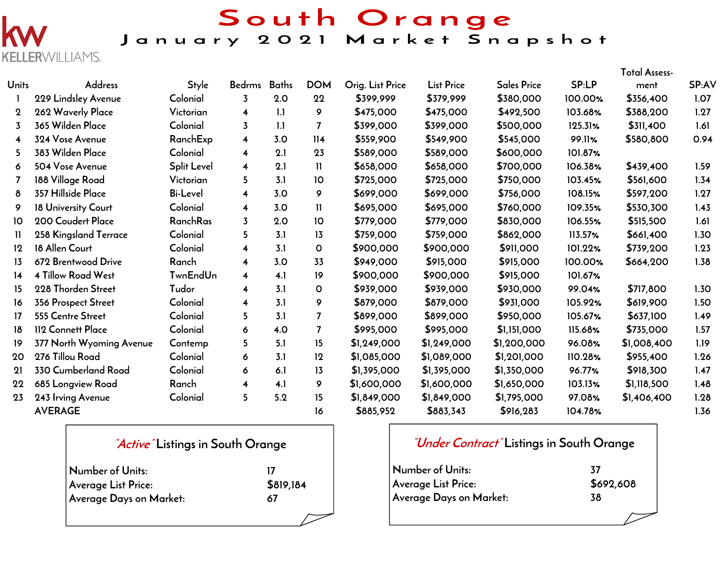

# South Orange<br>January 2021 Market Snapshot

|              |                           |                    |                         |              |                |                  |                   |                    |              | Total Assess- |              |
|--------------|---------------------------|--------------------|-------------------------|--------------|----------------|------------------|-------------------|--------------------|--------------|---------------|--------------|
| <b>Units</b> | <b>Address</b>            | <b>Style</b>       | <b>Bedrms</b>           | <b>Baths</b> | <b>DOM</b>     | Orig. List Price | <b>List Price</b> | <b>Sales Price</b> | <b>SP:LP</b> | ment          | <b>SP:AV</b> |
|              | 229 Lindsley Avenue       | Colonial           | 3                       | 2.0          | 22             | \$399,999        | \$379,999         | \$380,000          | 100.00%      | \$356,400     | 1.07         |
| $\mathbf 2$  | 262 Waverly Place         | Victorian          | $\overline{\mathbf{4}}$ | 1.1          | 9              | \$475,000        | \$475,000         | \$492,500          | 103.68%      | \$388,200     | 1.27         |
| 3            | 365 Wilden Place          | Colonial           | $\overline{3}$          | 1.1          | $\overline{7}$ | \$399,000        | \$399,000         | \$500,000          | 125.31%      | \$311,400     | 1.61         |
| 4            | 324 Vose Avenue           | RanchExp           | $\overline{\mathbf{4}}$ | 3.0          | 114            | \$559,900        | \$549,900         | \$545,000          | 99.11%       | \$580,800     | 0.94         |
| 5            | 383 Wilden Place          | Colonial           | $\overline{\mathbf{4}}$ | 2.1          | 23             | \$589,000        | \$589,000         | \$600,000          | 101.87%      |               |              |
| 6            | 504 Vose Avenue           | <b>Split Level</b> | $\overline{\mathbf{4}}$ | 2.1          | $\mathbf{H}$   | \$658,000        | \$658,000         | \$700,000          | 106.38%      | \$439,400     | 1.59         |
| 7            | 188 Village Road          | Victorian          | 5                       | 3.1          | 10             | \$725,000        | \$725,000         | \$750,000          | 103.45%      | \$561,600     | 1.34         |
| 8            | 357 Hillside Place        | <b>Bi-Level</b>    | $\overline{\mathbf{4}}$ | 3.0          | 9              | \$699,000        | \$699,000         | \$756,000          | 108.15%      | \$597,200     | 1.27         |
| 9            | 18 University Court       | Colonial           | $\overline{\mathbf{4}}$ | 3.0          | 11             | \$695,000        | \$695,000         | \$760,000          | 109.35%      | \$530,300     | 1.43         |
| 10           | 200 Coudert Place         | RanchRas           | 3                       | 2.0          | 10             | \$779,000        | \$779,000         | \$830,000          | 106.55%      | \$515,500     | 1.61         |
| Ħ            | 258 Kingsland Terrace     | Colonial           | 5.                      | 3.1          | 13             | \$759,000        | \$759,000         | \$862,000          | 113.57%      | \$661,400     | 1.30         |
| 12           | 18 Allen Court            | Colonial           | $\overline{\mathbf{4}}$ | 3.1          | 0              | \$900,000        | \$900,000         | \$911,000          | 101.22%      | \$739,200     | 1.23         |
| 13           | 672 Brentwood Drive       | Ranch              | 4                       | 3.0          | 33             | \$949,000        | \$915,000         | \$915,000          | 100.00%      | \$664,200     | 1.38         |
| 14           | <b>4 Tillow Road West</b> | <b>TwnEndUn</b>    | $\overline{\mathbf{4}}$ | 4.1          | 19             | \$900,000        | \$900,000         | \$915,000          | 101.67%      |               |              |
| 15           | 228 Thorden Street        | Tudor              | 4                       | 3.1          | $\mathbf{O}$   | \$939,000        | \$939,000         | \$930,000          | 99.04%       | \$717,800     | 1.30         |
| 16           | 356 Prospect Street       | Colonial           | $\overline{\mathbf{4}}$ | 3.1          | 9              | \$879,000        | \$879,000         | \$931,000          | 105.92%      | \$619,900     | 1.50         |
| 17           | 555 Centre Street         | Colonial           | 5                       | 3.1          | $\overline{7}$ | \$899,000        | \$899,000         | \$950,000          | 105.67%      | \$637,100     | 1.49         |
| 18           | 112 Connett Place         | Colonial           | 6                       | 4.0          | $\overline{7}$ | \$995,000        | \$995,000         | \$1,151,000        | 115.68%      | \$735,000     | 1.57         |
| 19           | 377 North Wyoming Avenue  | Contemp            | 5                       | 5.1          | 15             | \$1,249,000      | \$1,249,000       | \$1,200,000        | 96.08%       | \$1,008,400   | 1.19         |
| 20           | 276 Tillou Road           | Colonial           | 6                       | 3.1          | 12             | \$1,085,000      | \$1,089,000       | \$1,201,000        | 110.28%      | \$955,400     | 1.26         |
| 21           | 330 Cumberland Road       | Colonial           | 6                       | 6.1          | 13             | \$1,395,000      | \$1,395,000       | \$1,350,000        | 96.77%       | \$918,300     | 1.47         |
| 22           | 685 Longview Road         | Ranch              | 4                       | 4.1          | 9              | \$1,600,000      | \$1,600,000       | \$1,650,000        | 103.13%      | \$1,118,500   | 1.48         |
| 23           | 243 Irving Avenue         | Colonial           | 5                       | 5.2          | 15             | \$1,849,000      | \$1,849,000       | \$1,795,000        | 97.08%       | \$1,406,400   | 1.28         |
|              | <b>AVERAGE</b>            |                    |                         |              | 16             | \$885,952        | \$883,343         | \$916,283          | 104.78%      |               | 1.36         |

| <i>Active</i> Listings in South Orange |           |  |  |  |
|----------------------------------------|-----------|--|--|--|
| Number of Units:                       | 17        |  |  |  |
| Average List Price:                    | \$819,184 |  |  |  |
| Average Days on Market:                | 67        |  |  |  |
|                                        |           |  |  |  |

|                         | <i>Under Contract</i> Listings in South Orange |
|-------------------------|------------------------------------------------|
| Number of Units:        | 37                                             |
| Average List Price:     | \$692,608                                      |
| Average Days on Market: | 38                                             |

 $\mathbf{r}$